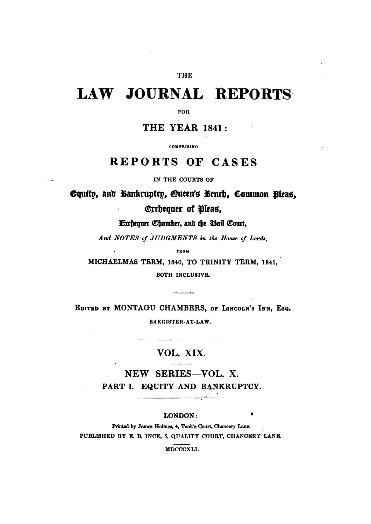### THE

# LAW JOURNAL REPORTS

**FOR** 

**THE YEAR 1841:** 

**COMPRISING** 

## REPORTS OF CASES

IN THE COURTS OF

 $\ddotsc$ 

Equity, and Bankruptry, Queen's Benth, Common Bleas. Erchequer of Pleas,

Exchequer Chamber, and the Wall Court,

And NOTES of JUDGMENTS in the House of Lords,

**FROM** 

MICHAELMAS TERM, 1840, TO TRINITY TERM, 1841, BOTH INCLUSIVE.

EDITED BY MONTAGU CHAMBERS, OF LINCOLN'S INN, ESQ. BARRISTER-AT-LAW.

### VOL. XIX.  $\overline{\phantom{a}}$

NEW SERIES-VOL. X. PART I. EQUITY AND BANKRUPTCY.

#### LONDON:

Printed by James Holmes, 4, Took's Court, Chancery Lane. PUBLISHED BY F. B. INCE, 5, QUALITY COURT, CHANCERY LANE.

MDCCCXLI.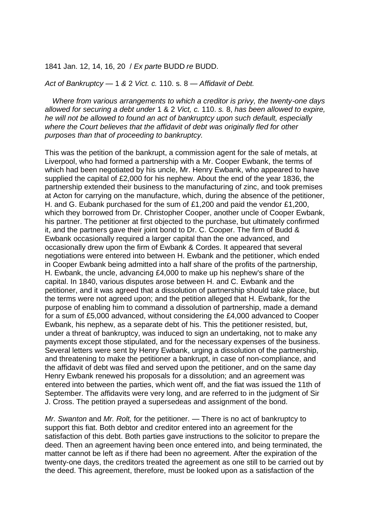1841 Jan. 12, 14, 16, 20 / *Ex parte* BUDD *re* BUDD.

#### *Act of Bankruptcy —* 1 *&* 2 *Vict. c.* 110. s. 8 — *Affidavit of Debt.*

*Where from various arrangements to which a creditor is privy, the twenty-one days allowed for securing a debt under* 1 & 2 *Vict, c.* 110. *s.* 8, *has been allowed to expire, he will not be allowed to found an act of bankruptcy upon such default, especially where the Court believes that the affidavit of debt was originally fled for other purposes than that of proceeding to bankruptcy.* 

This was the petition of the bankrupt, a commission agent for the sale of metals, at Liverpool, who had formed a partnership with a Mr. Cooper Ewbank, the terms of which had been negotiated by his uncle, Mr. Henry Ewbank, who appeared to have supplied the capital of £2,000 for his nephew. About the end of the year 1836, the partnership extended their business to the manufacturing of zinc, and took premises at Acton for carrying on the manufacture, which, during the absence of the petitioner, H. and G. Eubank purchased for the sum of £1,200 and paid the vendor £1,200, which they borrowed from Dr. Christopher Cooper, another uncle of Cooper Ewbank, his partner. The petitioner at first objected to the purchase, but ultimately confirmed it, and the partners gave their joint bond to Dr. C. Cooper. The firm of Budd & Ewbank occasionally required a larger capital than the one advanced, and occasionally drew upon the firm of Ewbank & Cordes. It appeared that several negotiations were entered into between H. Ewbank and the petitioner, which ended in Cooper Ewbank being admitted into a half share of the profits of the partnership, H. Ewbank, the uncle, advancing £4,000 to make up his nephew's share of the capital. In 1840, various disputes arose between H. and C. Ewbank and the petitioner, and it was agreed that a dissolution of partnership should take place, but the terms were not agreed upon; and the petition alleged that H. Ewbank, for the purpose of enabling him to command a dissolution of partnership, made a demand for a sum of £5,000 advanced, without considering the £4,000 advanced to Cooper Ewbank, his nephew, as a separate debt of his. This the petitioner resisted, but, under a threat of bankruptcy, was induced to sign an undertaking, not to make any payments except those stipulated, and for the necessary expenses of the business. Several letters were sent by Henry Ewbank, urging a dissolution of the partnership, and threatening to make the petitioner a bankrupt, in case of non-compliance, and the affidavit of debt was filed and served upon the petitioner, and on the same day Henry Ewbank renewed his proposals for a dissolution; and an agreement was entered into between the parties, which went off, and the fiat was issued the 11th of September. The affidavits were very long, and are referred to in the judgment of Sir J. Cross. The petition prayed a supersedeas and assignment of the bond.

*Mr. Swanton and Mr. Rolt, for the petitioner.* — There is no act of bankruptcy to support this fiat. Both debtor and creditor entered into an agreement for the satisfaction of this debt. Both parties gave instructions to the solicitor to prepare the deed. Then an agreement having been once entered into, and being terminated, the matter cannot be left as if there had been no agreement. After the expiration of the twenty-one days, the creditors treated the agreement as one still to be carried out by the deed. This agreement, therefore, must be looked upon as a satisfaction of the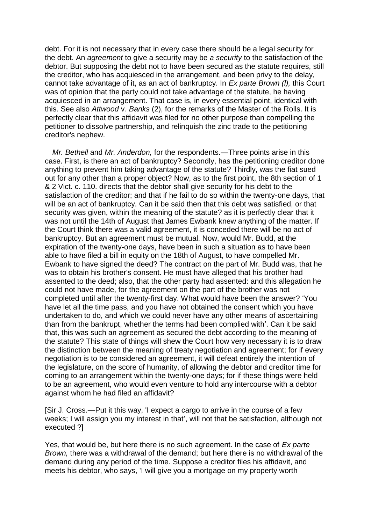debt. For it is not necessary that in every case there should be a legal security for the debt. An *agreement* to give a security may be *a security* to the satisfaction of the debtor. But supposing the debt not to have been secured as the statute requires, still the creditor, who has acquiesced in the arrangement, and been privy to the delay, cannot take advantage of it, as an act of bankruptcy. In *Ex parte Brown (l),* this Court was of opinion that the party could not take advantage of the statute, he having acquiesced in an arrangement. That case is, in every essential point, identical with this. See also *Attwood* v. *Banks* (2), for the remarks of the Master of the Rolls. It is perfectly clear that this affidavit was filed for no other purpose than compelling the petitioner to dissolve partnership, and relinquish the zinc trade to the petitioning creditor's nephew.

*Mr. Bethell and Mr. Anderdon, for the respondents.—Three points arise in this* case. First, is there an act of bankruptcy? Secondly, has the petitioning creditor done anything to prevent him taking advantage of the statute? Thirdly, was the fiat sued out for any other than a proper object? Now, as to the first point, the 8th section of 1 & 2 Vict. c. 110. directs that the debtor shall give security for his debt to the satisfaction of the creditor; and that if he fail to do so within the twenty-one days, that will be an act of bankruptcy. Can it be said then that this debt was satisfied, or that security was given, within the meaning of the statute? as it is perfectly clear that it was not until the 14th of August that James Ewbank knew anything of the matter. If the Court think there was a valid agreement, it is conceded there will be no act of bankruptcy. But an agreement must be mutual. Now, would Mr. Budd, at the expiration of the twenty-one days, have been in such a situation as to have been able to have filed a bill in equity on the 18th of August, to have compelled Mr. Ewbank to have signed the deed? The contract on the part of Mr. Budd was, that he was to obtain his brother's consent. He must have alleged that his brother had assented to the deed; also, that the other party had assented: and this allegation he could not have made, for the agreement on the part of the brother was not completed until after the twenty-first day. What would have been the answer? 'You have let all the time pass, and you have not obtained the consent which you have undertaken to do, and which we could never have any other means of ascertaining than from the bankrupt, whether the terms had been complied with'. Can it be said that, this was such an agreement as secured the debt according to the meaning of the statute? This state of things will shew the Court how very necessary it is to draw the distinction between the meaning of treaty negotiation and agreement; for if every negotiation is to be considered an agreement, it will defeat entirely the intention of the legislature, on the score of humanity, of allowing the debtor and creditor time for coming to an arrangement within the twenty-one days; for if these things were held to be an agreement, who would even venture to hold any intercourse with a debtor against whom he had filed an affidavit?

[Sir J. Cross.—Put it this way, 'I expect a cargo to arrive in the course of a few weeks; I will assign you my interest in that', will not that be satisfaction, although not executed ?]

Yes, that would be, but here there is no such agreement. In the case of *Ex parte Brown,* there was a withdrawal of the demand; but here there is no withdrawal of the demand during any period of the time. Suppose a creditor files his affidavit, and meets his debtor, who says, 'I will give you a mortgage on my property worth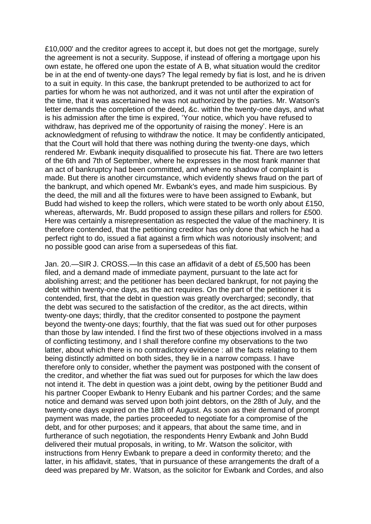£10,000' and the creditor agrees to accept it, but does not get the mortgage, surely the agreement is not a security. Suppose, if instead of offering a mortgage upon his own estate, he offered one upon the estate of A B, what situation would the creditor be in at the end of twenty-one days? The legal remedy by fiat is lost, and he is driven to a suit in equity. In this case, the bankrupt pretended to be authorized to act for parties for whom he was not authorized, and it was not until after the expiration of the time, that it was ascertained he was not authorized by the parties. Mr. Watson's letter demands the completion of the deed, &c. within the twenty-one days, and what is his admission after the time is expired, 'Your notice, which you have refused to withdraw, has deprived me of the opportunity of raising the money'. Here is an acknowledgment of refusing to withdraw the notice. It may be confidently anticipated, that the Court will hold that there was nothing during the twenty-one days, which rendered Mr. Ewbank inequity disqualified to prosecute his fiat. There are two letters of the 6th and 7th of September, where he expresses in the most frank manner that an act of bankruptcy had been committed, and where no shadow of complaint is made. But there is another circumstance, which evidently shews fraud on the part of the bankrupt, and which opened Mr. Ewbank's eyes, and made him suspicious. By the deed, the mill and all the fixtures were to have been assigned to Ewbank, but Budd had wished to keep the rollers, which were stated to be worth only about £150, whereas, afterwards, Mr. Budd proposed to assign these pillars and rollers for £500. Here was certainly a misrepresentation as respected the value of the machinery. It is therefore contended, that the petitioning creditor has only done that which he had a perfect right to do, issued a fiat against a firm which was notoriously insolvent; and no possible good can arise from a supersedeas of this fiat.

Jan. 20.—SIR J. CROSS.—In this case an affidavit of a debt of £5,500 has been filed, and a demand made of immediate payment, pursuant to the late act for abolishing arrest; and the petitioner has been declared bankrupt, for not paying the debt within twenty-one days, as the act requires. On the part of the petitioner it is contended, first, that the debt in question was greatly overcharged; secondly, that the debt was secured to the satisfaction of the creditor, as the act directs, within twenty-one days; thirdly, that the creditor consented to postpone the payment beyond the twenty-one days; fourthly, that the fiat was sued out for other purposes than those by law intended. I find the first two of these objections involved in a mass of conflicting testimony, and I shall therefore confine my observations to the two latter, about which there is no contradictory evidence : all the facts relating to them being distinctly admitted on both sides, they lie in a narrow compass. I have therefore only to consider, whether the payment was postponed with the consent of the creditor, and whether the fiat was sued out for purposes for which the law does not intend it. The debt in question was a joint debt, owing by the petitioner Budd and his partner Cooper Ewbank to Henry Eubank and his partner Cordes; and the same notice and demand was served upon both joint debtors, on the 28th of July, and the twenty-one days expired on the 18th of August. As soon as their demand of prompt payment was made, the parties proceeded to negotiate for a compromise of the debt, and for other purposes; and it appears, that about the same time, and in furtherance of such negotiation, the respondents Henry Ewbank and John Budd delivered their mutual proposals, in writing, to Mr. Watson the solicitor, with instructions from Henry Ewbank to prepare a deed in conformity thereto; and the latter, in his affidavit, states, 'that in pursuance of these arrangements the draft of a deed was prepared by Mr. Watson, as the solicitor for Ewbank and Cordes, and also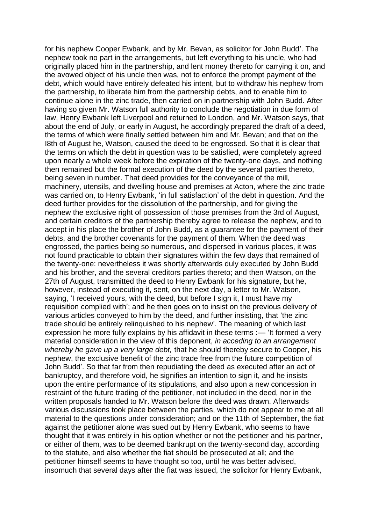for his nephew Cooper Ewbank, and by Mr. Bevan, as solicitor for John Budd'. The nephew took no part in the arrangements, but left everything to his uncle, who had originally placed him in the partnership, and lent money thereto for carrying it on, and the avowed object of his uncle then was, not to enforce the prompt payment of the debt, which would have entirely defeated his intent, but to withdraw his nephew from the partnership, to liberate him from the partnership debts, and to enable him to continue alone in the zinc trade, then carried on in partnership with John Budd. After having so given Mr. Watson full authority to conclude the negotiation in due form of law, Henry Ewbank left Liverpool and returned to London, and Mr. Watson says, that about the end of July, or early in August, he accordingly prepared the draft of a deed, the terms of which were finally settled between him and Mr. Bevan; and that on the I8th of August he, Watson, caused the deed to be engrossed. So that it is clear that the terms on which the debt in question was to be satisfied, were completely agreed upon nearly a whole week before the expiration of the twenty-one days, and nothing then remained but the formal execution of the deed by the several parties thereto, being seven in number. That deed provides for the conveyance of the mill, machinery, utensils, and dwelling house and premises at Acton, where the zinc trade was carried on, to Henry Ewbank, 'in full satisfaction' of the debt in question. And the deed further provides for the dissolution of the partnership, and for giving the nephew the exclusive right of possession of those premises from the 3rd of August, and certain creditors of the partnership thereby agree to release the nephew, and to accept in his place the brother of John Budd, as a guarantee for the payment of their debts, and the brother covenants for the payment of them. When the deed was engrossed, the parties being so numerous, and dispersed in various places, it was not found practicable to obtain their signatures within the few days that remained of the twenty-one: nevertheless it was shortly afterwards duly executed by John Budd and his brother, and the several creditors parties thereto; and then Watson, on the 27th of August, transmitted the deed to Henry Ewbank for his signature, but he, however, instead of executing it, sent, on the next day, a letter to Mr. Watson, saying, 'I received yours, with the deed, but before I sign it, I must have my requisition complied with'; and he then goes on to insist on the previous delivery of various articles conveyed to him by the deed, and further insisting, that 'the zinc trade should be entirely relinquished to his nephew'. The meaning of which last expression he more fully explains by his affidavit in these terms :- 'It formed a very material consideration in the view of this deponent, *in acceding to an arrangement whereby he gave up a very large debt,* that he should thereby secure to Cooper, his nephew, the exclusive benefit of the zinc trade free from the future competition of John Budd'. So that far from then repudiating the deed as executed after an act of bankruptcy, and therefore void, he signifies an intention to sign it, and he insists upon the entire performance of its stipulations, and also upon a new concession in restraint of the future trading of the petitioner, not included in the deed, nor in the written proposals handed to Mr. Watson before the deed was drawn. Afterwards various discussions took place between the parties, which do not appear to me at all material to the questions under consideration; and on the 11th of September, the fiat against the petitioner alone was sued out by Henry Ewbank, who seems to have thought that it was entirely in his option whether or not the petitioner and his partner, or either of them, was to be deemed bankrupt on the twenty-second day, according to the statute, and also whether the fiat should be prosecuted at all; and the petitioner himself seems to have thought so too, until he was better advised, insomuch that several days after the fiat was issued, the solicitor for Henry Ewbank,